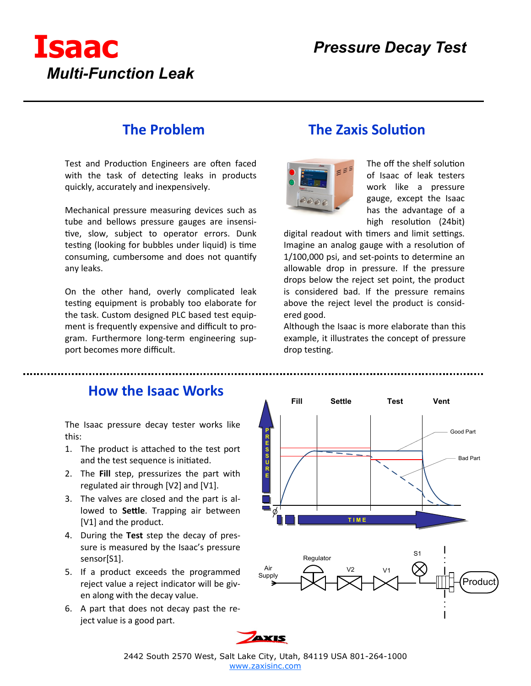

## **The Problem**

Test and Production Engineers are often faced with the task of detecting leaks in products quickly, accurately and inexpensively.

Mechanical pressure measuring devices such as tube and bellows pressure gauges are insensitive, slow, subject to operator errors. Dunk testing (looking for bubbles under liquid) is time consuming, cumbersome and does not quantify any leaks.

On the other hand, overly complicated leak testing equipment is probably too elaborate for the task. Custom designed PLC based test equipment is frequently expensive and difficult to program. Furthermore long-term engineering support becomes more difficult.

## **The Zaxis Solution**



The off the shelf solution of Isaac of leak testers work like a pressure gauge, except the Isaac has the advantage of a high resolution (24bit)

digital readout with timers and limit settings. Imagine an analog gauge with a resolution of 1/100,000 psi, and set-points to determine an allowable drop in pressure. If the pressure drops below the reject set point, the product is considered bad. If the pressure remains above the reject level the product is considered good.

Although the Isaac is more elaborate than this example, it illustrates the concept of pressure drop testing.

### **How the Isaac Works**

The Isaac pressure decay tester works like this:

- 1. The product is attached to the test port and the test sequence is initiated.
- 2. The **Fill** step, pressurizes the part with regulated air through [V2] and [V1].
- 3. The valves are closed and the part is allowed to **Settle**. Trapping air between [V1] and the product.
- 4. During the **Test** step the decay of pressure is measured by the Isaac's pressure sensor[S1].
- 5. If a product exceeds the programmed reject value a reject indicator will be given along with the decay value.
- 6. A part that does not decay past the reject value is a good part.